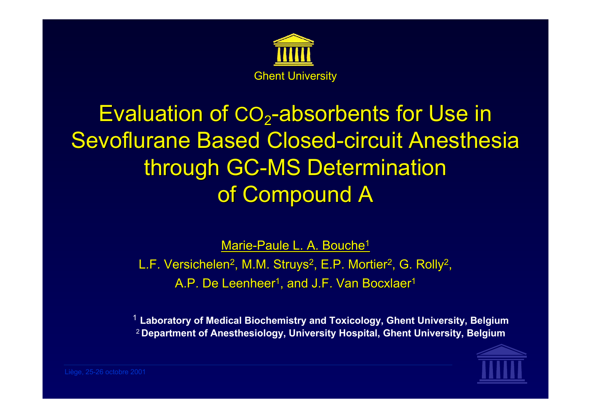

## Evaluation of CO<sub>2</sub>-absorbents for Use in Sevoflurane Based Closed-circuit Anesthesia through GC-MS Determination of Compound A

Marie-Paule L. A. Bouche<sup>1</sup>

L.F. Versichelen<sup>2</sup>, M.M. Struys<sup>2</sup>, E.P. Mortier<sup>2</sup>, G. Rolly<sup>2</sup>, A.P. De Leenheer<sup>1</sup>, and J.F. Van Bocxlaer<sup>1</sup>

1 **Laboratory of Medical Biochemistry and Toxicology, Ghent University, Belgium** 2 **Department of Anesthesiology, University Hospital, Ghent University, Belgium**

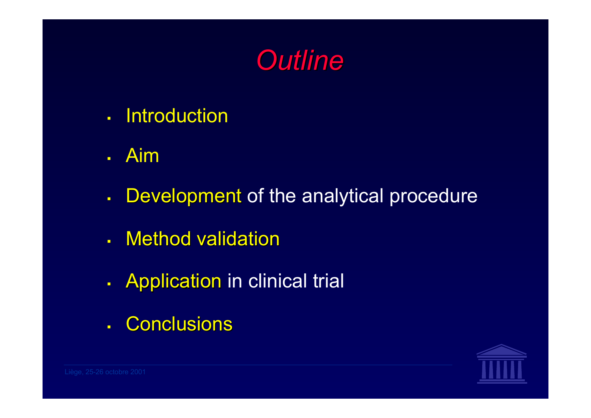

- a. **Introduction**
- $\blacksquare$ Aim
- $\blacksquare$ Development of the analytical procedure
- ä, . Method validation
- $\blacksquare$ Application in clinical trial
- $\blacksquare$ . Conclusions

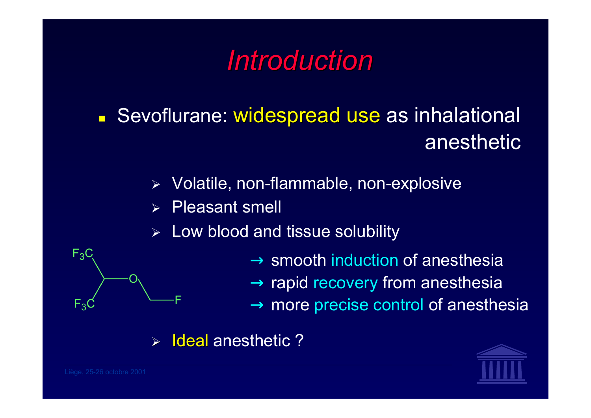## *Introduction Introduction*

### $\blacksquare$ **Sevoflurane: widespread use as inhalational** anesthetic

- $\blacktriangleright$ Volatile, non-flammable, non-explosive
- ¾Pleasant smell
- ¾Low blood and tissue solubility



#### ¾Ideal anesthetic ?



O

F

 $F_3$ 

 $F_3C$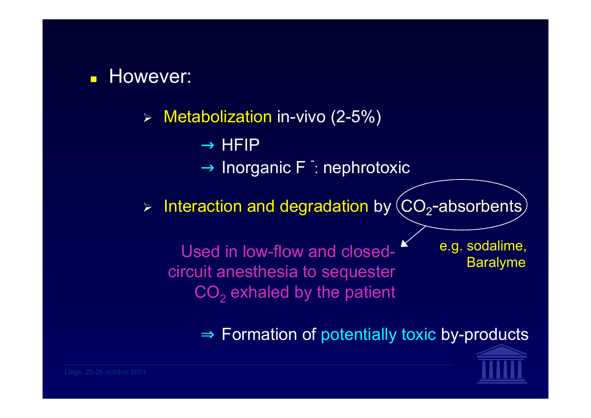

 $\triangleright$  Metabolization in-vivo (2-5%)

 $\rightarrow$  HFIP

 $\rightarrow$  Inorganic F  $\,$  nephrotoxic

 $\triangleright$  Interaction and degradation by  $\langle CO_2$ -absorbents

Used in low-flow and closedcircuit anesthesia to sequester CO $_{\rm 2}$  exhaled by the patient

e.g. sodalime, Baralyme

 $\Rightarrow$  Formation of potentially toxic by-products

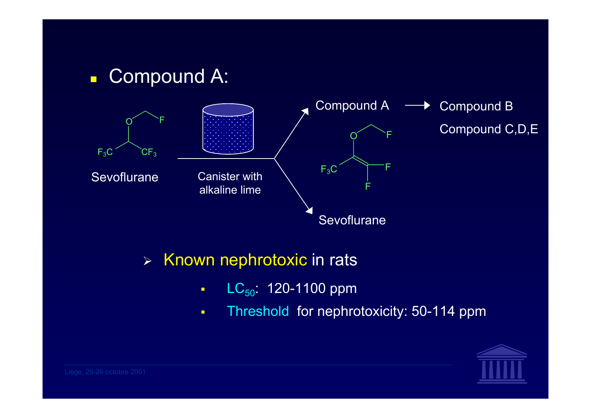

 $\triangleright$  Known nephrotoxic in rats

- $\blacksquare$  $LC_{50}$ : 120-1100 ppm
- $\blacksquare$ Threshold for nephrotoxicity: 50-114 ppm

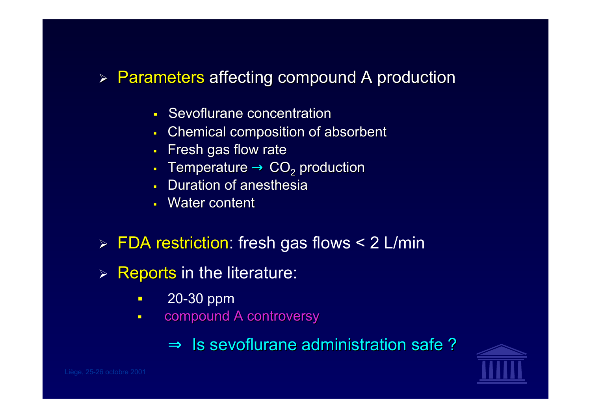### > Parameters affecting compound A production

- $\mathbf{r}$ Sevoflurane concentration
- $\blacksquare$ Chemical composition of absorbent
- $\blacksquare$ Fresh gas flow rate
- Temperature  $\rightarrow$  CO<sub>2</sub> production
- Г **Duration of anesthesia**
- Water content
- $\triangleright$  FDA restriction: fresh gas flows < 2 L/min
- ¾Reports in the literature:
	- П 20-30 ppm
	- $\blacksquare$ compound A controversy
		- $\Rightarrow$  Is sevoflurane administration safe ?

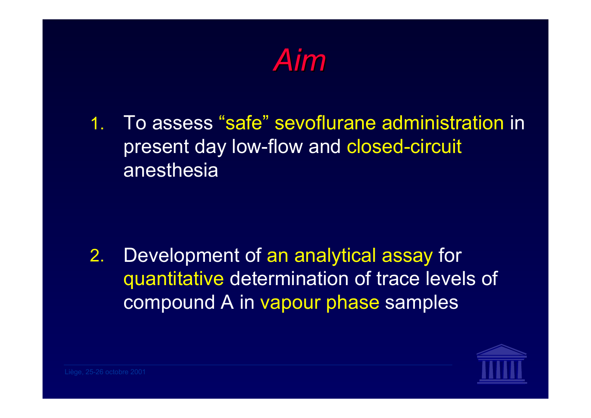

1. To assess "safe" sevoflurane administration in present day low-flow and closed-circuit anesthesia

2. Development of an analytical assay for quantitative determination of trace levels of compound A in vapour phase samples

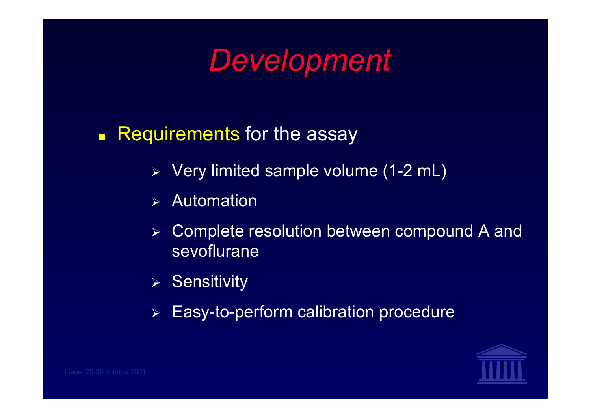

- $\Box$ Requirements for the assay
	- ¾ Very limited sample volume (1-2 mL)
	- ¾Automation
	- $\blacktriangleright$  Complete resolution between compound A and sevoflurane
	- ¾ Sensitivity
	- $\blacktriangleright$ Easy-to-perform calibration procedure

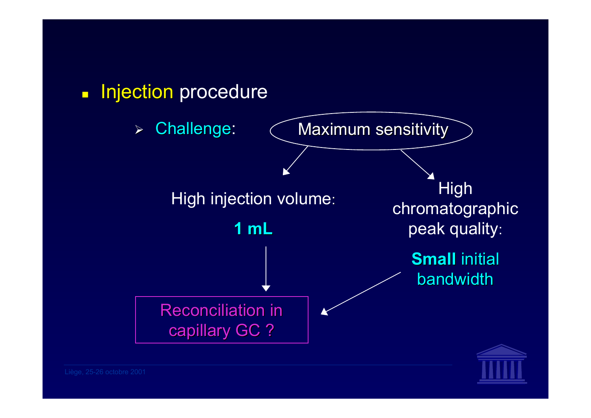

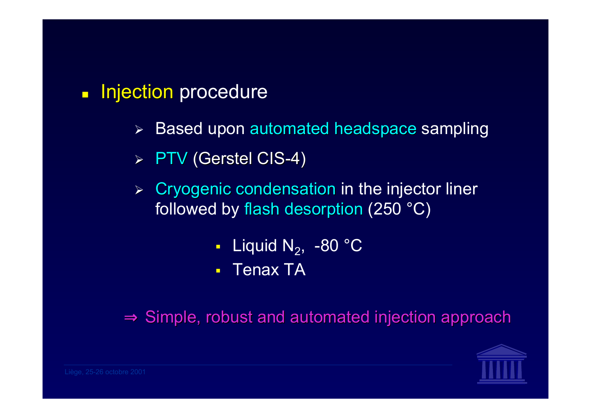#### $\Box$ Injection procedure

- ¾Based upon automated headspace sampling
- $\rhd$  PTV (Gerstel CIS-4)
- $\triangleright$  Cryogenic condensation in the injector liner followed by flash desorption (250  $^{\circ}$ C)
	- П - Liquid N $_{2}$ , -80 °C
	- $\blacksquare$ Tenax TA

 $\Rightarrow$  Simple, robust and automated injection approach

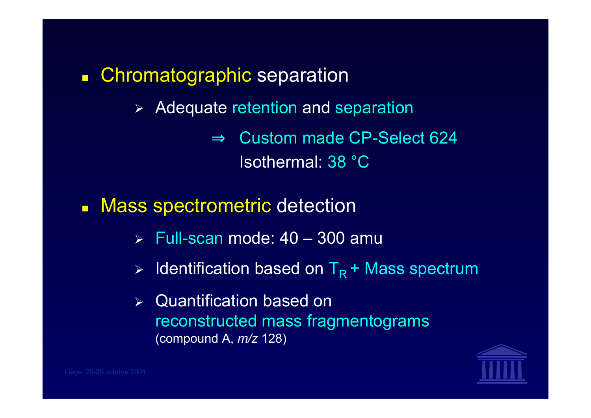- $\Box$ Chromatographic separation
	- $\blacktriangleright$ Adequate retention and separation

 $\Rightarrow$  Custom made CP-Select 624 Isothermal: 38 °C

- $\blacksquare$ Mass spectrometric detection
	- ¾ Full-scan mode: 40 300 amu
	- $\blacktriangleright$ Identification based on  $T_R$  + Mass spectrum
	- ¾ Quantification based on reconstructed mass fragmentograms (compound A, *m/z* 128)

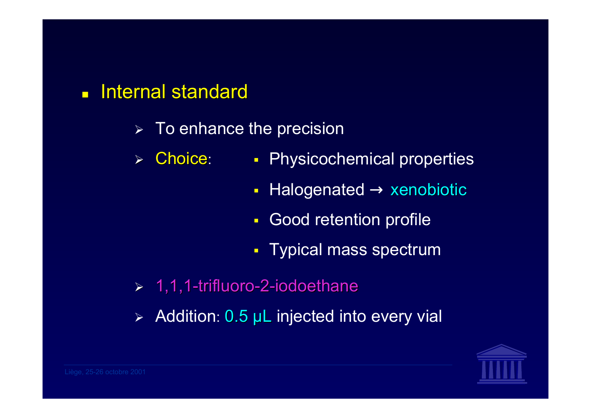#### $\blacksquare$ Internal standard

- $\triangleright$  To enhance the precision
- $\blacktriangleright$  Choice: **Physicochemical properties** 
	- $\blacksquare$ Halogenated  $\rightarrow$  xenobiotic
	- П **Good retention profile**
	- Typical mass spectrum
- $> 1,1,1$ -trifluoro-2-iodoethane
- $\blacktriangleright$ Addition: 0.5 µL injected into every vial

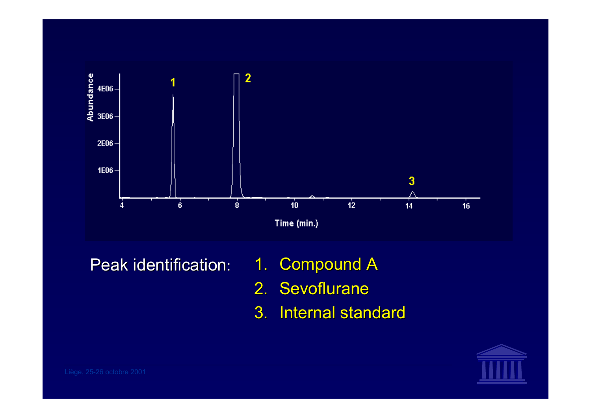

Peak identification:

- 1. Compound A
- 2. Sevoflurane
- 3. Internal standard

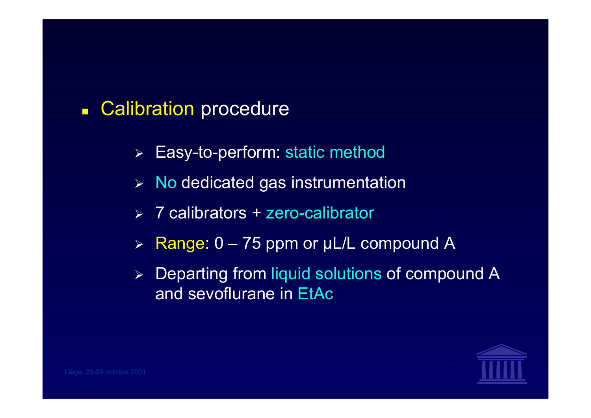#### $\Box$ **Calibration procedure**

- $\blacktriangleright$ Easy-to-perform: static method
- $\blacktriangleright$ No dedicated gas instrumentation
- $\geq 7$  calibrators + zero-calibrator
- $\blacktriangleright$ Range: 0 - 75 ppm or µL/L compound A
- $\blacktriangleright$ Departing from liquid solutions of compound A and sevoflurane in EtAc

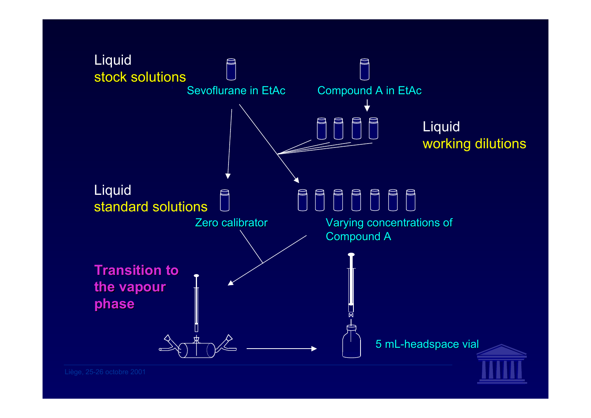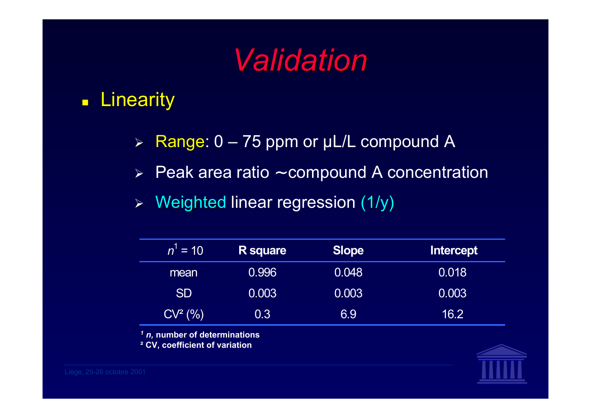# *Validation Validation*

#### $\blacksquare$ **Linearity**

- $\blacktriangleright$ Range:  $0 - 75$  ppm or µL/L compound A
- $\blacktriangleright$ Peak area ratio <sup>∼</sup> compound A concentration
- $\blacktriangleright$ Weighted linear regression (1/y)

| $n^1$ = 10 | <b>R</b> square | <b>Slope</b> | Intercept |
|------------|-----------------|--------------|-----------|
| mean       | 0.996           | 0.048        | 0.018     |
| <b>SD</b>  | 0.003           | 0.003        | 0.003     |
| $CV^2(% )$ | 0.3             | 6.9          | 16.2      |

*1 n,* **number of determinations**

**² CV, coefficient of variation**

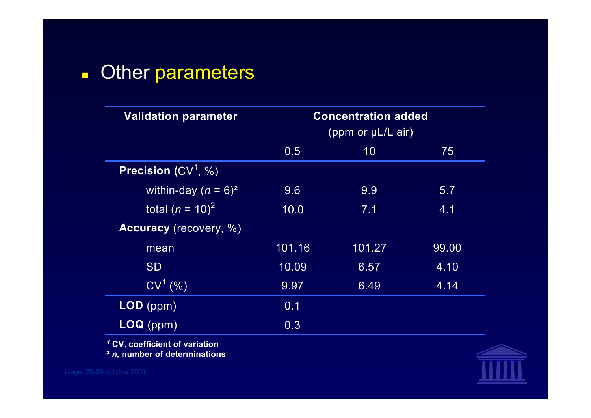#### $\blacksquare$ **Other parameters**

| <b>Validation parameter</b>               | <b>Concentration added</b><br>(ppm or $\mu$ L/L air) |        |       |
|-------------------------------------------|------------------------------------------------------|--------|-------|
|                                           | 0.5                                                  | 10     | 75    |
| <b>Precision</b> $(CV^1, %$               |                                                      |        |       |
| within-day $(n = 6)^2$                    | 9.6                                                  | 9.9    | 5.7   |
| total $(n = 10)^2$                        | 10.0                                                 | 7.1    | 4.1   |
| <b>Accuracy</b> (recovery, %)             |                                                      |        |       |
| mean                                      | 101.16                                               | 101.27 | 99.00 |
| <b>SD</b>                                 | 10.09                                                | 6.57   | 4.10  |
| $CV^1$ (%)                                | 9.97                                                 | 6.49   | 4.14  |
| LOD (ppm)                                 | 0.1                                                  |        |       |
| $LOQ$ (ppm)                               | 0.3                                                  |        |       |
| <sup>1</sup> CV, coefficient of variation |                                                      |        |       |

**²** *n,* **number of determinations**

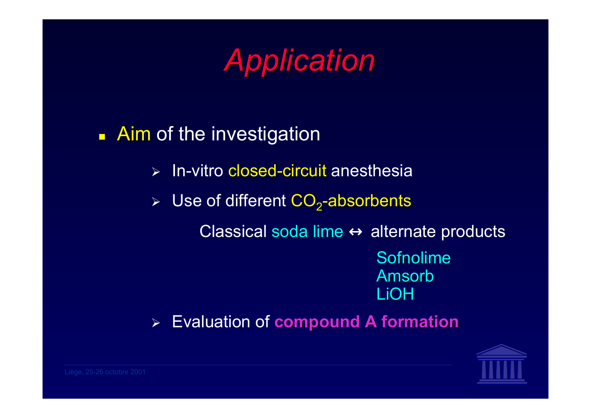*Application Application*

## **Aim** of the investigation

- $\blacktriangleright$ > In-vitro closed-circuit anesthesia
- $\blacktriangleright$ Use of different  $CO<sub>2</sub>$ -absorbents

Classical soda lime  $\leftrightarrow$  alternate products

Sofnolime AmsorbLiOH

 $\blacktriangleright$ Evaluation of **compound A formation compound A formation**

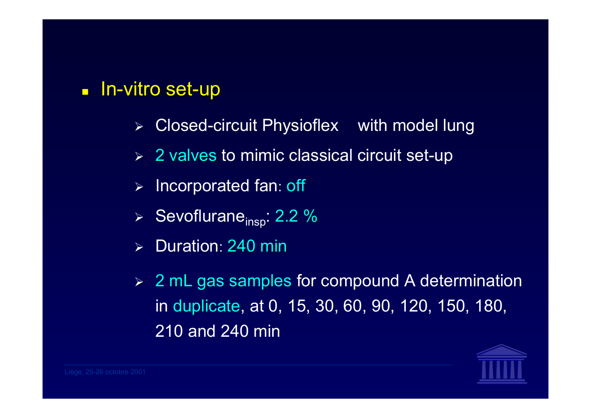#### $\blacksquare$ **In-vitro set-up**

- $\blacktriangleright$ Closed-circuit Physioflex  $\mathcal{B}$  with model lung
- $\triangleright$  2 valves to mimic classical circuit set-up
- $\blacktriangleright$ Incorporated fan: off
- ≻ Sevoflurane<sub>insp</sub>: 2.2 %
- ¾Duration: 240 min
- $\triangleright$  2 mL gas samples for compound A determination in duplicate, at 0, 15, 30, 60, 90, 120, 150, 180, 210 and 240 min

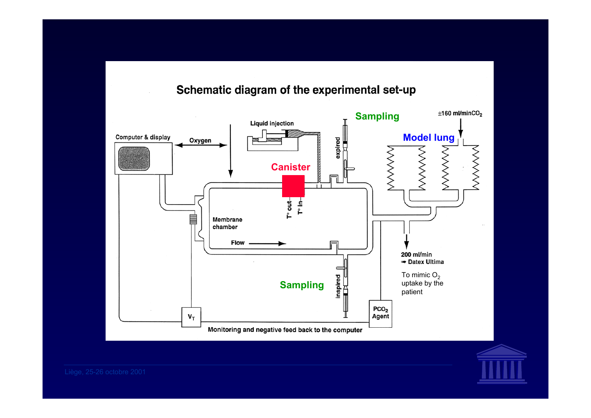#### Schematic diagram of the experimental set-up



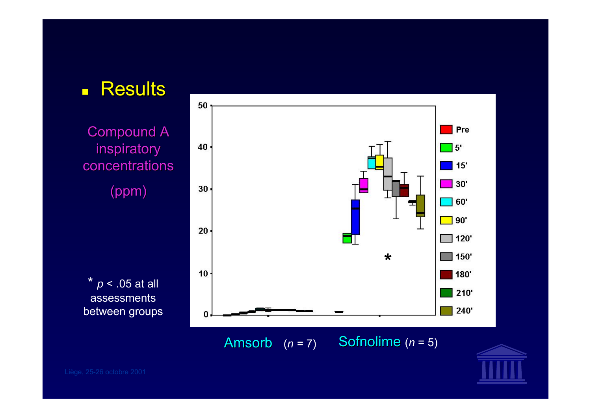

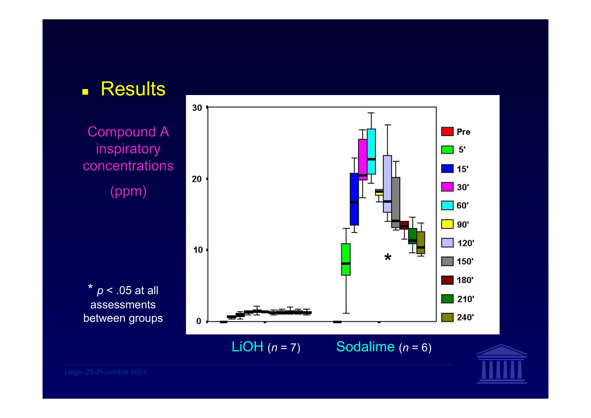

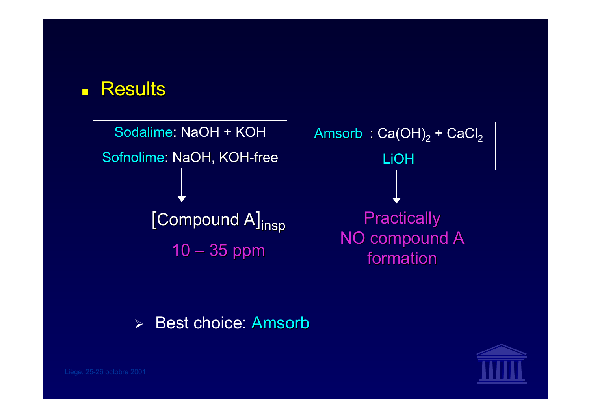#### $\blacksquare$ **Results**



#### $\blacktriangleright$ Best choice: Amsorb<sup>®</sup>

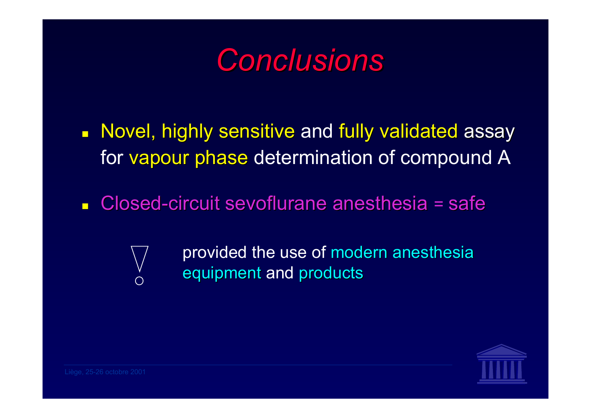*Conclusions Conclusions*

- $\blacksquare$ Novel, highly sensitive and fully validated assay for vapour phase determination of compound A
- $\Box$ ■ Closed-circuit sevoflurane anesthesia = safe
	-
- provided the use of modern anesthesia equipment and products